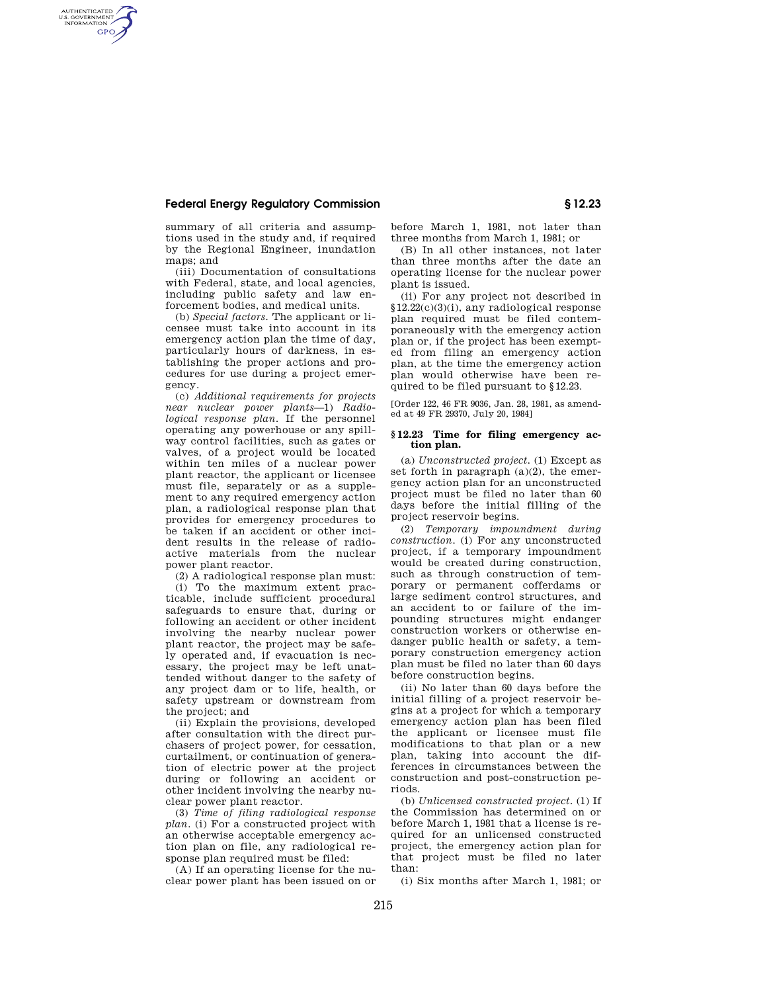# **Federal Energy Regulatory Commission § 12.23**

AUTHENTICATED<br>U.S. GOVERNMENT<br>INFORMATION **GPO** 

summary of all criteria and assumptions used in the study and, if required by the Regional Engineer, inundation maps; and

(iii) Documentation of consultations with Federal, state, and local agencies, including public safety and law enforcement bodies, and medical units.

(b) *Special factors.* The applicant or licensee must take into account in its emergency action plan the time of day, particularly hours of darkness, in establishing the proper actions and procedures for use during a project emergency.

(c) *Additional requirements for projects near nuclear power plants*—1) *Radiological response plan.* If the personnel operating any powerhouse or any spillway control facilities, such as gates or valves, of a project would be located within ten miles of a nuclear power plant reactor, the applicant or licensee must file, separately or as a supplement to any required emergency action plan, a radiological response plan that provides for emergency procedures to be taken if an accident or other incident results in the release of radioactive materials from the nuclear power plant reactor.

(2) A radiological response plan must:

(i) To the maximum extent practicable, include sufficient procedural safeguards to ensure that, during or following an accident or other incident involving the nearby nuclear power plant reactor, the project may be safely operated and, if evacuation is necessary, the project may be left unattended without danger to the safety of any project dam or to life, health, or safety upstream or downstream from the project; and

(ii) Explain the provisions, developed after consultation with the direct purchasers of project power, for cessation, curtailment, or continuation of generation of electric power at the project during or following an accident or other incident involving the nearby nuclear power plant reactor.

(3) *Time of filing radiological response plan.* (i) For a constructed project with an otherwise acceptable emergency action plan on file, any radiological response plan required must be filed:

(A) If an operating license for the nuclear power plant has been issued on or before March 1, 1981, not later than three months from March 1, 1981; or

(B) In all other instances, not later than three months after the date an operating license for the nuclear power plant is issued.

(ii) For any project not described in §12.22(c)(3)(i), any radiological response plan required must be filed contemporaneously with the emergency action plan or, if the project has been exempted from filing an emergency action plan, at the time the emergency action plan would otherwise have been required to be filed pursuant to §12.23.

[Order 122, 46 FR 9036, Jan. 28, 1981, as amended at 49 FR 29370, July 20, 1984]

## **§ 12.23 Time for filing emergency action plan.**

(a) *Unconstructed project.* (1) Except as set forth in paragraph  $(a)(2)$ , the emergency action plan for an unconstructed project must be filed no later than 60 days before the initial filling of the project reservoir begins.

(2) *Temporary impoundment during construction.* (i) For any unconstructed project, if a temporary impoundment would be created during construction, such as through construction of temporary or permanent cofferdams or large sediment control structures, and an accident to or failure of the impounding structures might endanger construction workers or otherwise endanger public health or safety, a temporary construction emergency action plan must be filed no later than 60 days before construction begins.

(ii) No later than 60 days before the initial filling of a project reservoir begins at a project for which a temporary emergency action plan has been filed the applicant or licensee must file modifications to that plan or a new plan, taking into account the differences in circumstances between the construction and post-construction periods.

(b) *Unlicensed constructed project.* (1) If the Commission has determined on or before March 1, 1981 that a license is required for an unlicensed constructed project, the emergency action plan for that project must be filed no later than:

(i) Six months after March 1, 1981; or